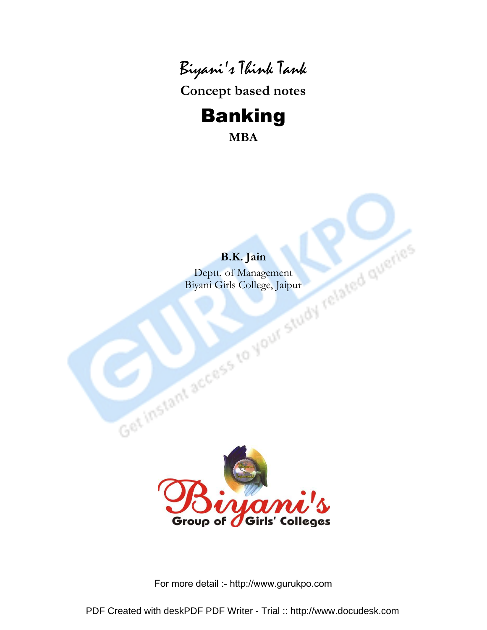

Concept based notes

# Banking

MBA

# B.K. Jain

Deptt. of Management Biyani Girls College, Jaipur

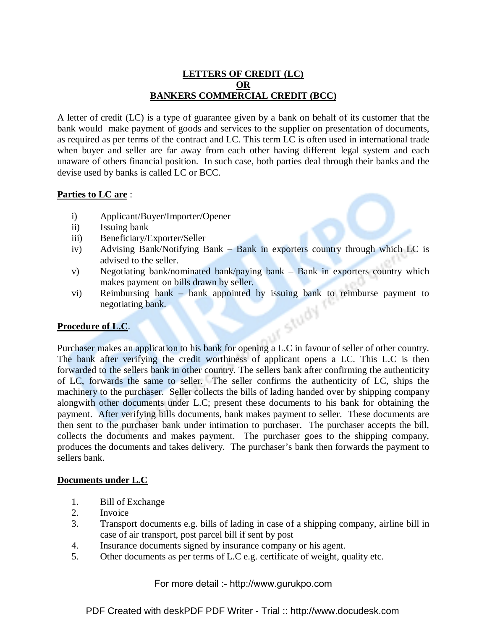#### **LETTERS OF CREDIT (LC) OR BANKERS COMMERCIAL CREDIT (BCC)**

A letter of credit (LC) is a type of guarantee given by a bank on behalf of its customer that the bank would make payment of goods and services to the supplier on presentation of documents, as required as per terms of the contract and LC. This term LC is often used in international trade when buyer and seller are far away from each other having different legal system and each unaware of others financial position. In such case, both parties deal through their banks and the devise used by banks is called LC or BCC.

#### **Parties to LC are** :

- i) Applicant/Buyer/Importer/Opener
- ii) Issuing bank
- iii) Beneficiary/Exporter/Seller
- iv) Advising Bank/Notifying Bank Bank in exporters country through which LC is advised to the seller.
- v) Negotiating bank/nominated bank/paying bank Bank in exporters country which makes payment on bills drawn by seller.
- vi) Reimbursing bank bank appointed by issuing bank to reimburse payment to negotiating bank.<br> **cedure of L.C**. negotiating bank.

#### **Procedure of L.C**.

Purchaser makes an application to his bank for opening a L.C in favour of seller of other country. The bank after verifying the credit worthiness of applicant opens a LC. This L.C is then forwarded to the sellers bank in other country. The sellers bank after confirming the authenticity of LC, forwards the same to seller. The seller confirms the authenticity of LC, ships the machinery to the purchaser. Seller collects the bills of lading handed over by shipping company alongwith other documents under L.C; present these documents to his bank for obtaining the payment. After verifying bills documents, bank makes payment to seller. These documents are then sent to the purchaser bank under intimation to purchaser. The purchaser accepts the bill, collects the documents and makes payment. The purchaser goes to the shipping company, produces the documents and takes delivery. The purchaser's bank then forwards the payment to sellers bank.

#### **Documents under L.C**

- 1. Bill of Exchange
- 2. Invoice
- 3. Transport documents e.g. bills of lading in case of a shipping company, airline bill in case of air transport, post parcel bill if sent by post
- 4. Insurance documents signed by insurance company or his agent.
- 5. Other documents as per terms of L.C e.g. certificate of weight, quality etc.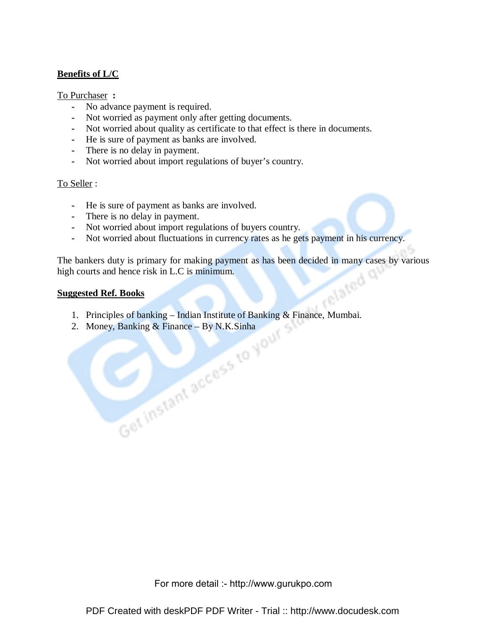#### **Benefits of L/C**

#### To Purchaser **:**

- **-** No advance payment is required.
- **-** Not worried as payment only after getting documents.
- **-** Not worried about quality as certificate to that effect is there in documents.
- **-** He is sure of payment as banks are involved.
- **-** There is no delay in payment.
- **-** Not worried about import regulations of buyer's country.

#### To Seller :

- **-** He is sure of payment as banks are involved.
- **-** There is no delay in payment.
- **-** Not worried about import regulations of buyers country.
- **-** Not worried about fluctuations in currency rates as he gets payment in his currency.

The bankers duty is primary for making payment as has been decided in many cases by various high courts and hence risk in L.C is minimum.<br>Suggested Ref. Books high courts and hence risk in L.C is minimum.

#### **Suggested Ref. Books**

- 1. Principles of banking Indian Institute of Banking & Finance, Mumbai.<br>
2. Money, Banking & Finance By N.K.Sinha<br>
2. Money, Banking & Finance By N.K.Sinha<br>
2. Money, Banking & Finance By N.K.Sinha
- 2. Money, Banking & Finance By N.K.Sinha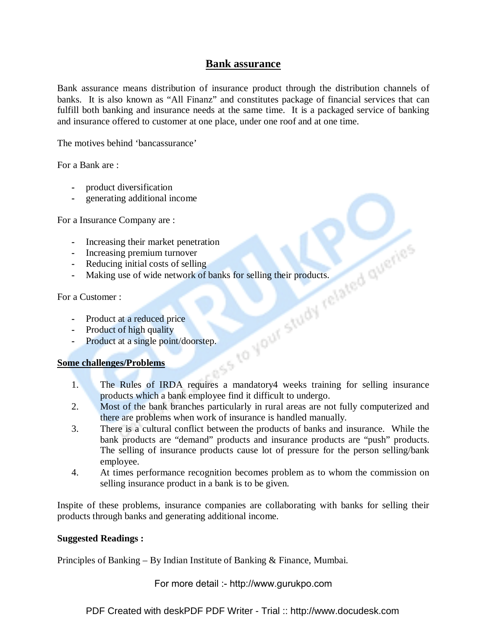# **Bank assurance**

Bank assurance means distribution of insurance product through the distribution channels of banks. It is also known as "All Finanz" and constitutes package of financial services that can fulfill both banking and insurance needs at the same time. It is a packaged service of banking and insurance offered to customer at one place, under one roof and at one time.

The motives behind 'bancassurance'

For a Bank are :

- **-** product diversification
- **-** generating additional income

For a Insurance Company are :

- 
- **-** Increasing premium turnover
- **-** Reducing initial costs of selling
- **-** Making use of wide network of banks for selling their products.

For a Customer :

- **-** Product at a reduced price
- **-** Product of high quality
- **-** Product at a single point/doorstep.

#### **Some challenges/Problems**

- **-** Increasing their market penetration<br> **-** Increasing premium turnover<br> **-** Reducing initial costs of selling<br> **-** Making use of wide network of banks for selling their products.<br> **a** Customer :<br> **-** Product at a reduced 1. The Rules of IRDA requires a mandatory4 weeks training for selling insurance products which a bank employee find it difficult to undergo.
- 2. Most of the bank branches particularly in rural areas are not fully computerized and there are problems when work of insurance is handled manually.
- 3. There is a cultural conflict between the products of banks and insurance. While the bank products are "demand" products and insurance products are "push" products. The selling of insurance products cause lot of pressure for the person selling/bank employee.
- 4. At times performance recognition becomes problem as to whom the commission on selling insurance product in a bank is to be given.

Inspite of these problems, insurance companies are collaborating with banks for selling their products through banks and generating additional income.

#### **Suggested Readings :**

Principles of Banking – By Indian Institute of Banking & Finance, Mumbai.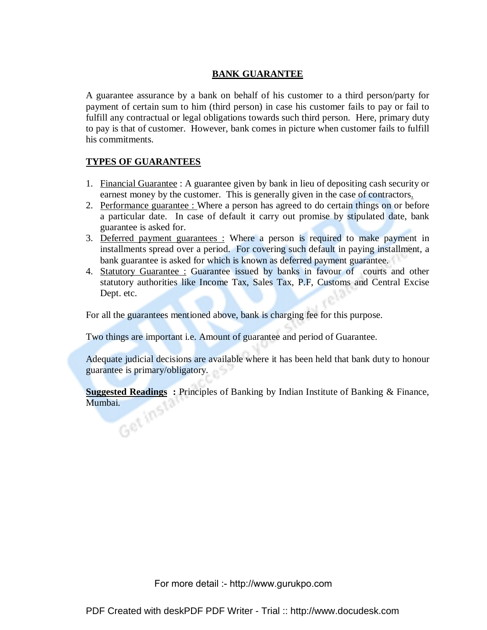#### **BANK GUARANTEE**

A guarantee assurance by a bank on behalf of his customer to a third person/party for payment of certain sum to him (third person) in case his customer fails to pay or fail to fulfill any contractual or legal obligations towards such third person. Here, primary duty to pay is that of customer. However, bank comes in picture when customer fails to fulfill his commitments.

# **TYPES OF GUARANTEES**

- 1. Financial Guarantee : A guarantee given by bank in lieu of depositing cash security or earnest money by the customer. This is generally given in the case of contractors.
- 2. Performance guarantee : Where a person has agreed to do certain things on or before a particular date. In case of default it carry out promise by stipulated date, bank guarantee is asked for.
- 3. Deferred payment guarantees : Where a person is required to make payment in installments spread over a period. For covering such default in paying installment, a bank guarantee is asked for which is known as deferred payment guarantee.
- 4. Statutory Guarantee : Guarantee issued by banks in favour of courts and other statutory authorities like Income Tax, Sales Tax, P.F, Customs and Central Excise Dept. etc.

For all the guarantees mentioned above, bank is charging fee for this purpose.

Two things are important i.e. Amount of guarantee and period of Guarantee.

Adequate judicial decisions are available where it has been held that bank duty to honour guarantee is primary/obligatory.

**Suggested Readings** : Principles of Banking by Indian Institute of Banking & Finance,<br>Mumbai. Mumbai.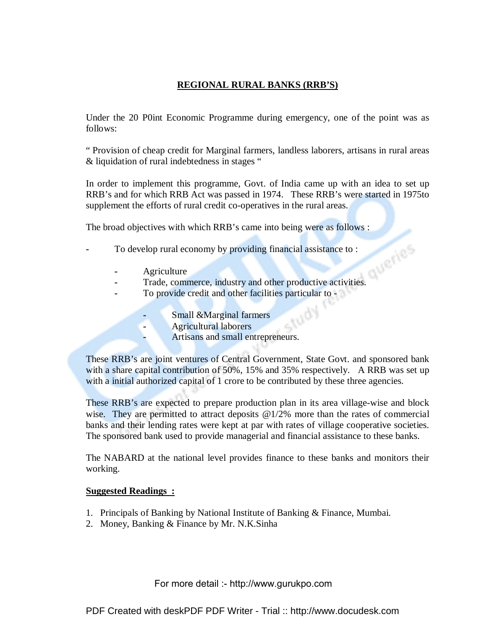# **REGIONAL RURAL BANKS (RRB'S)**

Under the 20 P0int Economic Programme during emergency, one of the point was as follows:

" Provision of cheap credit for Marginal farmers, landless laborers, artisans in rural areas & liquidation of rural indebtedness in stages "

In order to implement this programme, Govt. of India came up with an idea to set up RRB's and for which RRB Act was passed in 1974. These RRB's were started in 1975to supplement the efforts of rural credit co-operatives in the rural areas.

The broad objectives with which RRB's came into being were as follows :

- **-** To develop rural economy by providing financial assistance to :
	- **-** Agriculture
- **1988 Agriculture**<br> **-** Trade, commerce, industry and other productive activities.
	- **-** To provide credit and other facilities particular to
		- **-** Small &Marginal farmers
		- **-** Agricultural laborers
		- **-** Artisans and small entrepreneurs.

These RRB's are joint ventures of Central Government, State Govt. and sponsored bank with a share capital contribution of 50%, 15% and 35% respectively. A RRB was set up with a initial authorized capital of 1 crore to be contributed by these three agencies.

 $t\delta_{U_f}$ 

These RRB's are expected to prepare production plan in its area village-wise and block wise. They are permitted to attract deposits  $@1/2\%$  more than the rates of commercial banks and their lending rates were kept at par with rates of village cooperative societies. The sponsored bank used to provide managerial and financial assistance to these banks.

The NABARD at the national level provides finance to these banks and monitors their working.

#### **Suggested Readings :**

- 1. Principals of Banking by National Institute of Banking & Finance, Mumbai.
- 2. Money, Banking & Finance by Mr. N.K.Sinha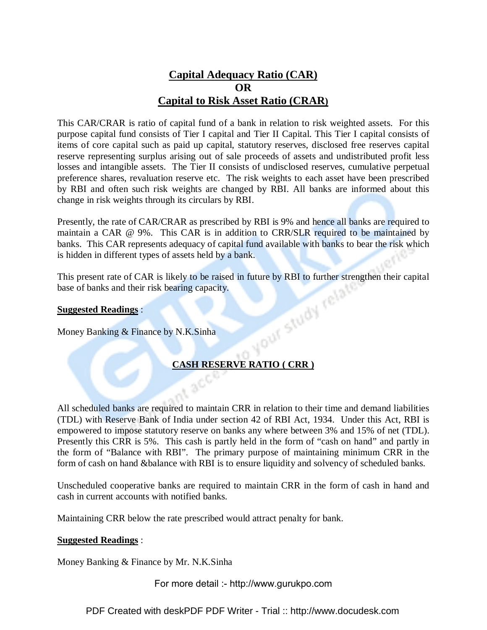# **Capital Adequacy Ratio (CAR) OR Capital to Risk Asset Ratio (CRAR)**

This CAR/CRAR is ratio of capital fund of a bank in relation to risk weighted assets. For this purpose capital fund consists of Tier I capital and Tier II Capital. This Tier I capital consists of items of core capital such as paid up capital, statutory reserves, disclosed free reserves capital reserve representing surplus arising out of sale proceeds of assets and undistributed profit less losses and intangible assets. The Tier II consists of undisclosed reserves, cumulative perpetual preference shares, revaluation reserve etc. The risk weights to each asset have been prescribed by RBI and often such risk weights are changed by RBI. All banks are informed about this change in risk weights through its circulars by RBI.

Presently, the rate of CAR/CRAR as prescribed by RBI is 9% and hence all banks are required to maintain a CAR @ 9%. This CAR is in addition to CRR/SLR required to be maintained by banks. This CAR represents adequacy of capital fund available with banks to bear the risk which is hidden in different types of assets held by a bank.

This present rate of CAR is likely to be raised in future by RBI to further strengthen their capital<br>base of banks and their risk bearing capacity.<br>Suggested Readings :<br>Money Banking & Finance by N.K.Sinha base of banks and their risk bearing capacity.

#### **Suggested Readings** :

Money Banking & Finance by N.K.Sinha

# **CASH RESERVE RATIO ( CRR )**

All scheduled banks are required to maintain CRR in relation to their time and demand liabilities (TDL) with Reserve Bank of India under section 42 of RBI Act, 1934. Under this Act, RBI is empowered to impose statutory reserve on banks any where between 3% and 15% of net (TDL). Presently this CRR is 5%. This cash is partly held in the form of "cash on hand" and partly in the form of "Balance with RBI". The primary purpose of maintaining minimum CRR in the form of cash on hand &balance with RBI is to ensure liquidity and solvency of scheduled banks.

Unscheduled cooperative banks are required to maintain CRR in the form of cash in hand and cash in current accounts with notified banks.

Maintaining CRR below the rate prescribed would attract penalty for bank.

#### **Suggested Readings** :

Money Banking & Finance by Mr. N.K.Sinha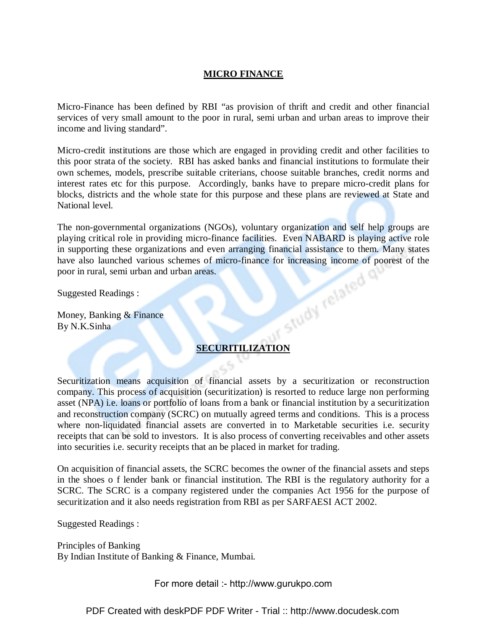#### **MICRO FINANCE**

Micro-Finance has been defined by RBI "as provision of thrift and credit and other financial services of very small amount to the poor in rural, semi urban and urban areas to improve their income and living standard".

Micro-credit institutions are those which are engaged in providing credit and other facilities to this poor strata of the society. RBI has asked banks and financial institutions to formulate their own schemes, models, prescribe suitable criterians, choose suitable branches, credit norms and interest rates etc for this purpose. Accordingly, banks have to prepare micro-credit plans for blocks, districts and the whole state for this purpose and these plans are reviewed at State and National level.

The non-governmental organizations (NGOs), voluntary organization and self help groups are playing critical role in providing micro-finance facilities. Even NABARD is playing active role in supporting these organizations and even arranging financial assistance to them. Many states have also launched various schemes of micro-finance for increasing income of poorest of the poor in rural, semi urban and urban areas.<br>Suggested Readings :<br>Money, Banking & Finance By N.K.Sinha poor in rural, semi urban and urban areas.

Suggested Readings :

Money, Banking & Finance By N.K.Sinha

# **SECURITILIZATION**

Securitization means acquisition of financial assets by a securitization or reconstruction company. This process of acquisition (securitization) is resorted to reduce large non performing asset (NPA) i.e. loans or portfolio of loans from a bank or financial institution by a securitization and reconstruction company (SCRC) on mutually agreed terms and conditions. This is a process where non-liquidated financial assets are converted in to Marketable securities i.e. security receipts that can be sold to investors. It is also process of converting receivables and other assets into securities i.e. security receipts that an be placed in market for trading.

On acquisition of financial assets, the SCRC becomes the owner of the financial assets and steps in the shoes o f lender bank or financial institution. The RBI is the regulatory authority for a SCRC. The SCRC is a company registered under the companies Act 1956 for the purpose of securitization and it also needs registration from RBI as per SARFAESI ACT 2002.

Suggested Readings :

Principles of Banking By Indian Institute of Banking & Finance, Mumbai.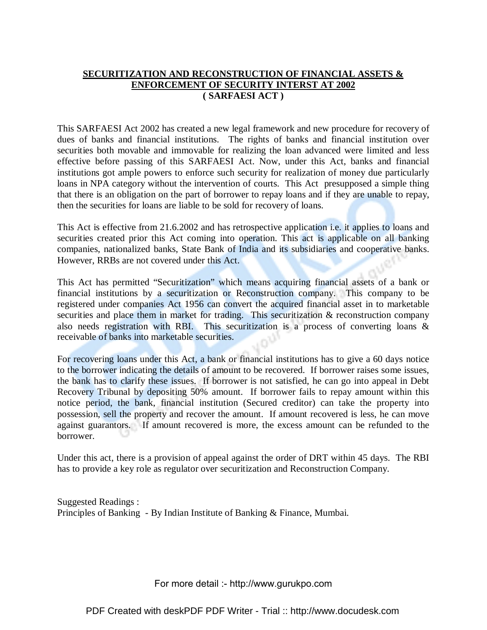# **SECURITIZATION AND RECONSTRUCTION OF FINANCIAL ASSETS & ENFORCEMENT OF SECURITY INTERST AT 2002 ( SARFAESI ACT )**

This SARFAESI Act 2002 has created a new legal framework and new procedure for recovery of dues of banks and financial institutions. The rights of banks and financial institution over securities both movable and immovable for realizing the loan advanced were limited and less effective before passing of this SARFAESI Act. Now, under this Act, banks and financial institutions got ample powers to enforce such security for realization of money due particularly loans in NPA category without the intervention of courts. This Act presupposed a simple thing that there is an obligation on the part of borrower to repay loans and if they are unable to repay, then the securities for loans are liable to be sold for recovery of loans.

This Act is effective from 21.6.2002 and has retrospective application i.e. it applies to loans and securities created prior this Act coming into operation. This act is applicable on all banking companies, nationalized banks, State Bank of India and its subsidiaries and cooperative banks. However, RRBs are not covered under this Act.

This Act has permitted "Securitization" which means acquiring financial assets of a bank or financial institutions by a securitization or Reconstruction company. This company to be registered under companies Act 1956 can convert the acquired financial asset in to marketable securities and place them in market for trading. This securitization & reconstruction company also needs registration with RBI. This securitization is a process of converting loans & receivable of banks into marketable securities.

For recovering loans under this Act, a bank or financial institutions has to give a 60 days notice to the borrower indicating the details of amount to be recovered. If borrower raises some issues, the bank has to clarify these issues. If borrower is not satisfied, he can go into appeal in Debt Recovery Tribunal by depositing 50% amount. If borrower fails to repay amount within this notice period, the bank, financial institution (Secured creditor) can take the property into possession, sell the property and recover the amount. If amount recovered is less, he can move against guarantors. If amount recovered is more, the excess amount can be refunded to the borrower.

Under this act, there is a provision of appeal against the order of DRT within 45 days. The RBI has to provide a key role as regulator over securitization and Reconstruction Company.

Suggested Readings : Principles of Banking - By Indian Institute of Banking & Finance, Mumbai.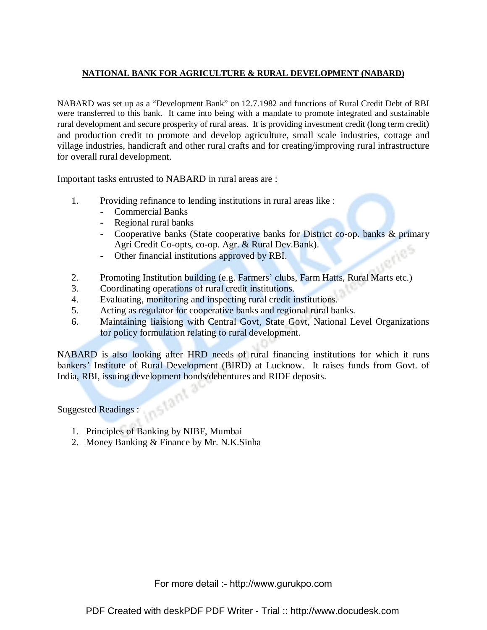#### **NATIONAL BANK FOR AGRICULTURE & RURAL DEVELOPMENT (NABARD)**

NABARD was set up as a "Development Bank" on 12.7.1982 and functions of Rural Credit Debt of RBI were transferred to this bank. It came into being with a mandate to promote integrated and sustainable rural development and secure prosperity of rural areas. It is providing investment credit (long term credit) and production credit to promote and develop agriculture, small scale industries, cottage and village industries, handicraft and other rural crafts and for creating/improving rural infrastructure for overall rural development.

Important tasks entrusted to NABARD in rural areas are :

- 1. Providing refinance to lending institutions in rural areas like :
	- **-** Commercial Banks
	- **-** Regional rural banks
	- **-** Cooperative banks (State cooperative banks for District co-op. banks & primary Agri Credit Co-opts, co-op. Agr. & Rural Dev.Bank).
	- **-** Other financial institutions approved by RBI.
- 2. Promoting Institution building (e.g. Farmers' clubs, Farm Hatts, Rural Marts etc.)
- 3. Coordinating operations of rural credit institutions.
- 4. Evaluating, monitoring and inspecting rural credit institutions.
- 5. Acting as regulator for cooperative banks and regional rural banks.
- 6. Maintaining liaisiong with Central Govt, State Govt, National Level Organizations for policy formulation relating to rural development.

NABARD is also looking after HRD needs of rural financing institutions for which it runs bankers' Institute of Rural Development (BIRD) at Lucknow. It raises funds from Govt. of India, RBI, issuing development bonds/debentures and RIDF deposits.<br>Suggested Readings :

Suggested Readings :

- 1. Principles of Banking by NIBF, Mumbai
- 2. Money Banking & Finance by Mr. N.K.Sinha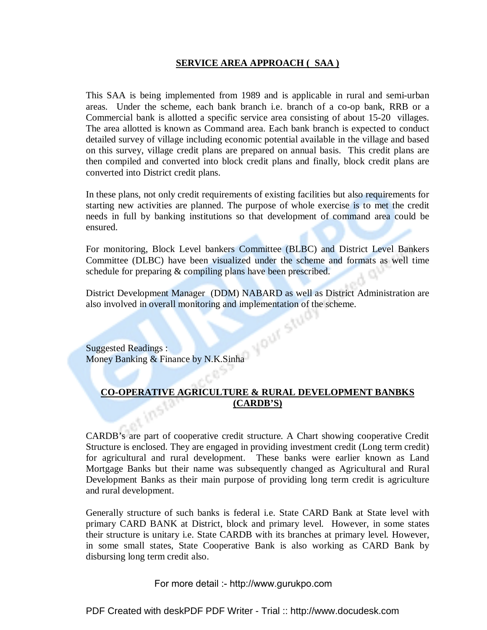#### **SERVICE AREA APPROACH ( SAA )**

This SAA is being implemented from 1989 and is applicable in rural and semi-urban areas. Under the scheme, each bank branch i.e. branch of a co-op bank, RRB or a Commercial bank is allotted a specific service area consisting of about 15-20 villages. The area allotted is known as Command area. Each bank branch is expected to conduct detailed survey of village including economic potential available in the village and based on this survey, village credit plans are prepared on annual basis. This credit plans are then compiled and converted into block credit plans and finally, block credit plans are converted into District credit plans.

In these plans, not only credit requirements of existing facilities but also requirements for starting new activities are planned. The purpose of whole exercise is to met the credit needs in full by banking institutions so that development of command area could be ensured.

For monitoring, Block Level bankers Committee (BLBC) and District Level Bankers Committee (DLBC) have been visualized under the scheme and formats as well time schedule for preparing & compiling plans have been prescribed.

District Development Manager (DDM) NABARD as well as District Administration are also involved in overall monitoring and implementation of the scheme.

Suggested Readings : Money Banking & Finance by N.K.Sinha

# **CO-OPERATIVE AGRICULTURE & RURAL DEVELOPMENT BANBKS (CARDB'S)**

CARDB's are part of cooperative credit structure. A Chart showing cooperative Credit Structure is enclosed. They are engaged in providing investment credit (Long term credit) for agricultural and rural development. These banks were earlier known as Land Mortgage Banks but their name was subsequently changed as Agricultural and Rural Development Banks as their main purpose of providing long term credit is agriculture and rural development.

Generally structure of such banks is federal i.e. State CARD Bank at State level with primary CARD BANK at District, block and primary level. However, in some states their structure is unitary i.e. State CARDB with its branches at primary level. However, in some small states, State Cooperative Bank is also working as CARD Bank by disbursing long term credit also.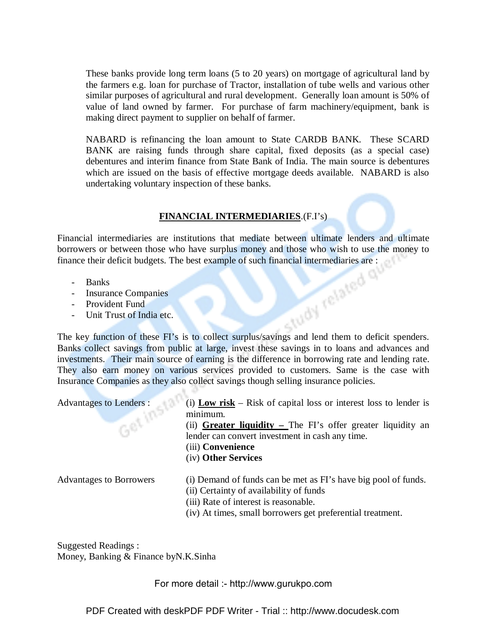These banks provide long term loans (5 to 20 years) on mortgage of agricultural land by the farmers e.g. loan for purchase of Tractor, installation of tube wells and various other similar purposes of agricultural and rural development. Generally loan amount is 50% of value of land owned by farmer. For purchase of farm machinery/equipment, bank is making direct payment to supplier on behalf of farmer.

NABARD is refinancing the loan amount to State CARDB BANK. These SCARD BANK are raising funds through share capital, fixed deposits (as a special case) debentures and interim finance from State Bank of India. The main source is debentures which are issued on the basis of effective mortgage deeds available. NABARD is also undertaking voluntary inspection of these banks.

#### **FINANCIAL INTERMEDIARIES**.(F.I's)

Financial intermediaries are institutions that mediate between ultimate lenders and ultimate borrowers or between those who have surplus money and those who wish to use the money to finance their deficit budgets. The best example of such financial intermediaries are :

- Banks
- Insurance Companies
- Provident Fund
- Unit Trust of India etc.

The key function of these FI's is to collect surplus/savings and lend them to deficit spenders. Banks collect savings from public at large, invest these savings in to loans and advances and investments. Their main source of earning is the difference in borrowing rate and lending rate. They also earn money on various services provided to customers. Same is the case with Insurance Companies as they also collect savings though selling insurance policies.

| <b>Advantages to Lenders:</b><br>Get In | (i) Low risk – Risk of capital loss or interest loss to lender is<br>minimum.<br>(ii) <b>Greater liquidity</b> – The FI's offer greater liquidity an<br>lender can convert investment in cash any time.<br>(iii) Convenience<br>(iv) Other Services |
|-----------------------------------------|-----------------------------------------------------------------------------------------------------------------------------------------------------------------------------------------------------------------------------------------------------|
| <b>Advantages to Borrowers</b>          | (i) Demand of funds can be met as FI's have big pool of funds.<br>(ii) Certainty of availability of funds<br>(iii) Rate of interest is reasonable.<br>(iv) At times, small borrowers get preferential treatment.                                    |

Suggested Readings : Money, Banking & Finance byN.K.Sinha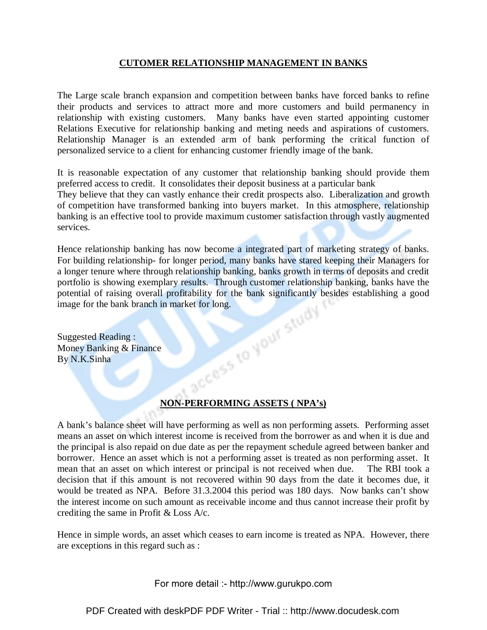#### **CUTOMER RELATIONSHIP MANAGEMENT IN BANKS**

The Large scale branch expansion and competition between banks have forced banks to refine their products and services to attract more and more customers and build permanency in relationship with existing customers. Many banks have even started appointing customer Relations Executive for relationship banking and meting needs and aspirations of customers. Relationship Manager is an extended arm of bank performing the critical function of personalized service to a client for enhancing customer friendly image of the bank.

It is reasonable expectation of any customer that relationship banking should provide them preferred access to credit. It consolidates their deposit business at a particular bank

They believe that they can vastly enhance their credit prospects also. Liberalization and growth of competition have transformed banking into buyers market. In this atmosphere, relationship banking is an effective tool to provide maximum customer satisfaction through vastly augmented services.

Hence relationship banking has now become a integrated part of marketing strategy of banks. For building relationship- for longer period, many banks have stared keeping their Managers for a longer tenure where through relationship banking, banks growth in terms of deposits and credit portfolio is showing exemplary results. Through customer relationship banking, banks have the potential of raising overall profitability for the bank significantly besides establishing a good image for the bank branch in market for long.<br>Suggested Reading :<br>Money Banking & Finance By N.K.Sinha image for the bank branch in market for long.

Suggested Reading : Money Banking & Finance By N.K.Sinha

# **NON-PERFORMING ASSETS ( NPA's)**

A bank's balance sheet will have performing as well as non performing assets. Performing asset means an asset on which interest income is received from the borrower as and when it is due and the principal is also repaid on due date as per the repayment schedule agreed between banker and borrower. Hence an asset which is not a performing asset is treated as non performing asset. It mean that an asset on which interest or principal is not received when due. The RBI took a decision that if this amount is not recovered within 90 days from the date it becomes due, it would be treated as NPA. Before 31.3.2004 this period was 180 days. Now banks can't show the interest income on such amount as receivable income and thus cannot increase their profit by crediting the same in Profit & Loss A/c.

Hence in simple words, an asset which ceases to earn income is treated as NPA. However, there are exceptions in this regard such as :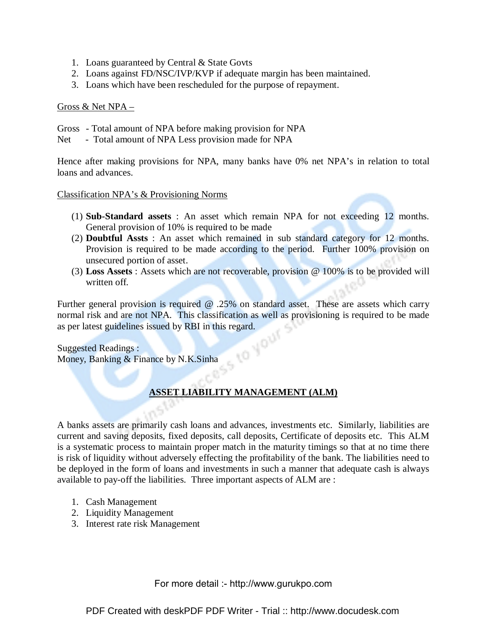- 1. Loans guaranteed by Central & State Govts
- 2. Loans against FD/NSC/IVP/KVP if adequate margin has been maintained.
- 3. Loans which have been rescheduled for the purpose of repayment.

#### Gross & Net NPA –

- Gross Total amount of NPA before making provision for NPA
- Net Total amount of NPA Less provision made for NPA

Hence after making provisions for NPA, many banks have 0% net NPA's in relation to total loans and advances.

Classification NPA's & Provisioning Norms

- (1) **Sub-Standard assets** : An asset which remain NPA for not exceeding 12 months. General provision of 10% is required to be made
- (2) **Doubtful Assts** : An asset which remained in sub standard category for 12 months. Provision is required to be made according to the period. Further 100% provision on unsecured portion of asset.
- (3) **Loss Assets** : Assets which are not recoverable, provision @ 100% is to be provided will written off.

Further general provision is required  $\omega$  .25% on standard asset. These are assets which carry normal risk and are not NPA. This classification as well as provisioning is required to be made

as per latest guidelines issued by RBI in this regard.<br>Suggested Readings:<br>Money, Banking & Finance by  $N V^{\infty}$ . Suggested Readings : Money, Banking & Finance by N.K.Sinha

# **ASSET LIABILITY MANAGEMENT (ALM)**

A banks assets are primarily cash loans and advances, investments etc. Similarly, liabilities are current and saving deposits, fixed deposits, call deposits, Certificate of deposits etc. This ALM is a systematic process to maintain proper match in the maturity timings so that at no time there is risk of liquidity without adversely effecting the profitability of the bank. The liabilities need to be deployed in the form of loans and investments in such a manner that adequate cash is always available to pay-off the liabilities. Three important aspects of ALM are :

- 1. Cash Management
- 2. Liquidity Management
- 3. Interest rate risk Management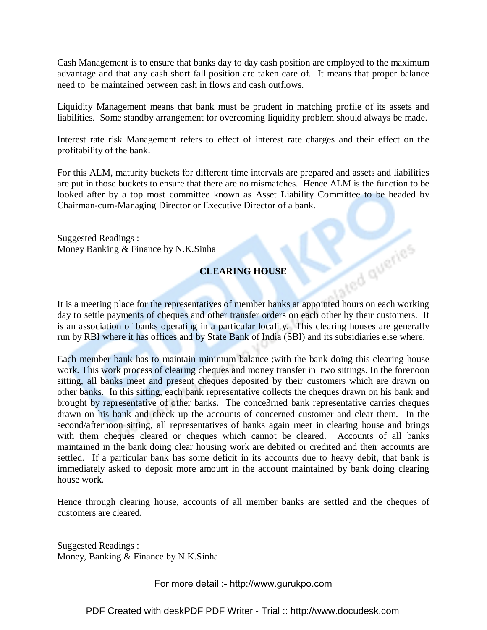Cash Management is to ensure that banks day to day cash position are employed to the maximum advantage and that any cash short fall position are taken care of. It means that proper balance need to be maintained between cash in flows and cash outflows.

Liquidity Management means that bank must be prudent in matching profile of its assets and liabilities. Some standby arrangement for overcoming liquidity problem should always be made.

Interest rate risk Management refers to effect of interest rate charges and their effect on the profitability of the bank.

For this ALM, maturity buckets for different time intervals are prepared and assets and liabilities are put in those buckets to ensure that there are no mismatches. Hence ALM is the function to be looked after by a top most committee known as Asset Liability Committee to be headed by Chairman-cum-Managing Director or Executive Director of a bank.

Suggested Readings : Money Banking & Finance by N.K.Sinha

# **CLEARING HOUSE**

**CLEARING HOUSE**<br>It is a meeting place for the representatives of member banks at appointed hours on each working day to settle payments of cheques and other transfer orders on each other by their customers. It is an association of banks operating in a particular locality. This clearing houses are generally run by RBI where it has offices and by State Bank of India (SBI) and its subsidiaries else where.

Each member bank has to maintain minimum balance ;with the bank doing this clearing house work. This work process of clearing cheques and money transfer in two sittings. In the forenoon sitting, all banks meet and present cheques deposited by their customers which are drawn on other banks. In this sitting, each bank representative collects the cheques drawn on his bank and brought by representative of other banks. The conce3rned bank representative carries cheques drawn on his bank and check up the accounts of concerned customer and clear them. In the second/afternoon sitting, all representatives of banks again meet in clearing house and brings with them cheques cleared or cheques which cannot be cleared. Accounts of all banks maintained in the bank doing clear housing work are debited or credited and their accounts are settled. If a particular bank has some deficit in its accounts due to heavy debit, that bank is immediately asked to deposit more amount in the account maintained by bank doing clearing house work.

Hence through clearing house, accounts of all member banks are settled and the cheques of customers are cleared.

Suggested Readings : Money, Banking & Finance by N.K.Sinha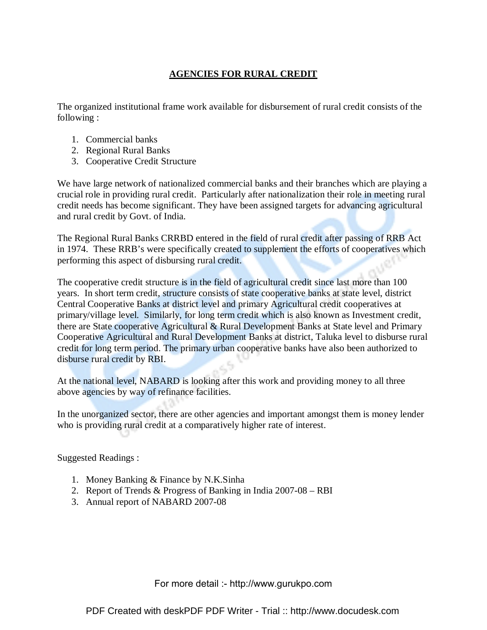# **AGENCIES FOR RURAL CREDIT**

The organized institutional frame work available for disbursement of rural credit consists of the following :

- 1. Commercial banks
- 2. Regional Rural Banks
- 3. Cooperative Credit Structure

We have large network of nationalized commercial banks and their branches which are playing a crucial role in providing rural credit. Particularly after nationalization their role in meeting rural credit needs has become significant. They have been assigned targets for advancing agricultural and rural credit by Govt. of India.

The Regional Rural Banks CRRBD entered in the field of rural credit after passing of RRB Act in 1974. These RRB's were specifically created to supplement the efforts of cooperatives which performing this aspect of disbursing rural credit.

The cooperative credit structure is in the field of agricultural credit since last more than 100 years. In short term credit, structure consists of state cooperative banks at state level, district Central Cooperative Banks at district level and primary Agricultural credit cooperatives at primary/village level. Similarly, for long term credit which is also known as Investment credit, there are State cooperative Agricultural & Rural Development Banks at State level and Primary Cooperative Agricultural and Rural Development Banks at district, Taluka level to disburse rural credit for long term period. The primary urban cooperative banks have also been authorized to disburse rural credit by RBI.

At the national level, NABARD is looking after this work and providing money to all three above agencies by way of refinance facilities.

In the unorganized sector, there are other agencies and important amongst them is money lender who is providing rural credit at a comparatively higher rate of interest.

Suggested Readings :

- 1. Money Banking & Finance by N.K.Sinha
- 2. Report of Trends & Progress of Banking in India 2007-08 RBI
- 3. Annual report of NABARD 2007-08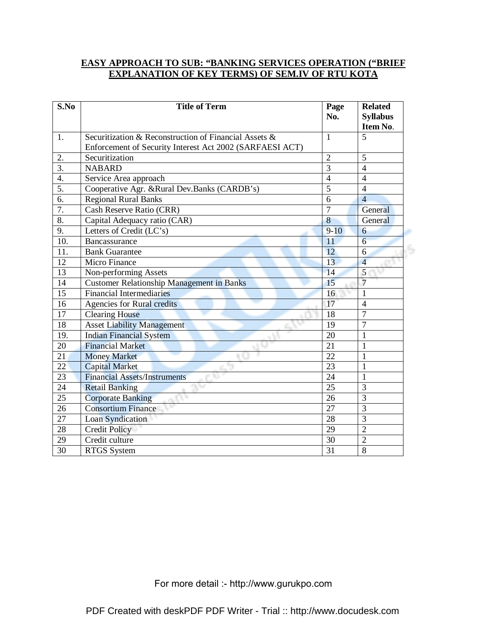#### **EASY APPROACH TO SUB: "BANKING SERVICES OPERATION ("BRIEF EXPLANATION OF KEY TERMS) OF SEM.IV OF RTU KOTA**

| S.No             | <b>Title of Term</b>                                     | Page<br>No.     | <b>Related</b><br><b>Syllabus</b> |
|------------------|----------------------------------------------------------|-----------------|-----------------------------------|
|                  |                                                          |                 | Item No.                          |
| 1.               | Securitization & Reconstruction of Financial Assets &    | $\mathbf{1}$    | 5                                 |
|                  | Enforcement of Security Interest Act 2002 (SARFAESI ACT) |                 |                                   |
| 2.               | Securitization                                           | $\overline{2}$  | 5                                 |
| $\overline{3}$ . | <b>NABARD</b>                                            | 3               | $\overline{4}$                    |
| 4.               | Service Area approach                                    | $\overline{4}$  | $\overline{4}$                    |
| 5.               | Cooperative Agr. &Rural Dev.Banks (CARDB's)              |                 | $\overline{4}$                    |
| 6.               | <b>Regional Rural Banks</b>                              | 6               | $\overline{4}$                    |
| 7.               | Cash Reserve Ratio (CRR)                                 | $\overline{7}$  | General                           |
| 8.               | Capital Adequacy ratio (CAR)                             | 8               | General                           |
| 9.               | Letters of Credit $(L\overline{C\,s})$                   | $9 - 10$        | 6                                 |
| 10.              | Bancassurance                                            | 11              | $\overline{6}$                    |
| 11.              | <b>Bank Guarantee</b>                                    | 12              | 6                                 |
| 12               | Micro Finance                                            | 13              | $\overline{4}$                    |
| 13               | Non-performing Assets                                    | 14              | 5                                 |
| 14               | <b>Customer Relationship Management in Banks</b>         | 15              | $\overline{7}$                    |
| 15               | <b>Financial Intermediaries</b>                          | 16              | 1                                 |
| 16               | <b>Agencies for Rural credits</b>                        | 17              | $\overline{4}$                    |
| 17               | <b>Clearing House</b>                                    | 18              | $\overline{7}$                    |
| 18               | <b>Asset Liability Management</b>                        | 19              | $\overline{7}$                    |
| 19.              | <b>Indian Financial System</b>                           | 20              | $\mathbf{1}$                      |
| 20               | <b>Financial Market</b>                                  | 21              | 1                                 |
| 21               | <b>Money Market</b>                                      | 22              |                                   |
| 22               | <b>Capital Market</b>                                    | 23              | 1                                 |
| 23               | <b>Financial Assets/Instruments</b>                      | 24              | $\mathbf{1}$                      |
| 24               | <b>Retail Banking</b>                                    | 25              | $\overline{3}$                    |
| 25               | <b>Corporate Banking</b>                                 | 26              | 3                                 |
| 26               | <b>Consortium Finance</b>                                | 27              | 3                                 |
| 27               | Loan Syndication                                         | $\overline{28}$ | $\overline{3}$                    |
| 28               | <b>Credit Policy</b>                                     | 29              | $\overline{2}$                    |
| 29               | Credit culture                                           | 30              | $\overline{2}$                    |
| 30               | <b>RTGS</b> System                                       | 31              | $\overline{8}$                    |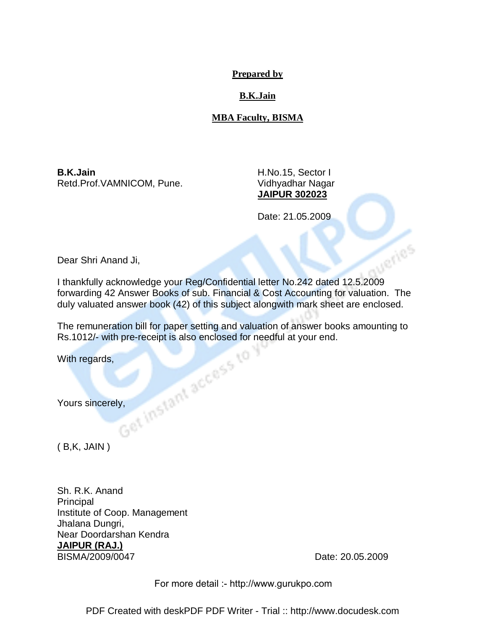#### **Prepared by**

# **B.K.Jain**

# **MBA Faculty, BISMA**

**B.K.Jain** H.No.15, Sector I Retd.Prof.VAMNICOM, Pune. Vidhyadhar Nagar

**JAIPUR 302023**

Date: 21.05.2009

Dear Shri Anand Ji,

I thankfully acknowledge your Reg/Confidential letter No.242 dated 12.5.2009 forwarding 42 Answer Books of sub. Financial & Cost Accounting for valuation. The duly valuated answer book (42) of this subject alongwith mark sheet are enclosed.

The remuneration bill for paper setting and valuation of answer books amounting to<br>Rs.1012/- with pre-receipt is also enclosed for needful at your end.<br>With regards,<br>With regards,<br>Nours sincerely, Rs.1012/- with pre-receipt is also enclosed for needful at your end.

With regards,

Yours sincerely,

 $(B,K, JAIN)$ 

Sh. R.K. Anand Principal Institute of Coop. Management Jhalana Dungri, Near Doordarshan Kendra **JAIPUR (RAJ.)** BISMA/2009/0047 Date: 20.05.2009